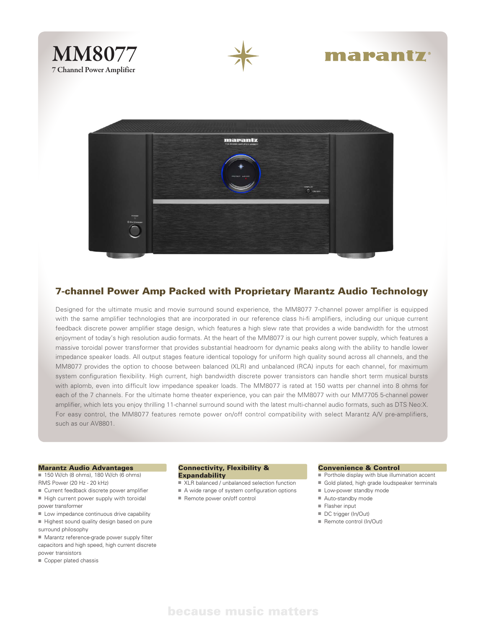



# marantz



### 7-channel Power Amp Packed with Proprietary Marantz Audio Technology

Designed for the ultimate music and movie surround sound experience, the MM8077 7-channel power amplifier is equipped with the same amplifier technologies that are incorporated in our reference class hi-fi amplifiers, including our unique current feedback discrete power amplifier stage design, which features a high slew rate that provides a wide bandwidth for the utmost enjoyment of today's high resolution audio formats. At the heart of the MM8077 is our high current power supply, which features a massive toroidal power transformer that provides substantial headroom for dynamic peaks along with the ability to handle lower impedance speaker loads. All output stages feature identical topology for uniform high quality sound across all channels, and the MM8077 provides the option to choose between balanced (XLR) and unbalanced (RCA) inputs for each channel, for maximum system configuration flexibility. High current, high bandwidth discrete power transistors can handle short term musical bursts with aplomb, even into difficult low impedance speaker loads. The MM8077 is rated at 150 watts per channel into 8 ohms for each of the 7 channels. For the ultimate home theater experience, you can pair the MM8077 with our MM7705 5-channel power amplifier, which lets you enjoy thrilling 11-channel surround sound with the latest multi-channel audio formats, such as DTS Neo:X. For easy control, the MM8077 features remote power on/off control compatibility with select Marantz A/V pre-amplifiers, such as our AV8801.

#### Marantz Audio Advantages

- 150 W/ch (8 ohms), 180 W/ch (6 ohms) RMS Power (20 Hz - 20 kHz)
- 
- $\blacksquare$  Current feedback discrete power amplifier  $\blacksquare$  High current power supply with toroidal
- power transformer
- $\blacksquare$  Low impedance continuous drive capability
- $\blacksquare$  Highest sound quality design based on pure surround philosophy
- $M$ arantz reference-grade power supply filter capacitors and high speed, high current discrete
- power transistors
- $\blacksquare$  Copper plated chassis

#### Connectivity, Flexibility & **Expandability**

- $\blacksquare$  XLR balanced / unbalanced selection function
- $A$  wide range of system configuration options
- Remote power on/off control

#### Convenience & Control

- $\blacksquare$  Porthole display with blue illumination accent
- Gold plated, high grade loudspeaker terminals
- Low-power standby mode
- Auto-standby mode
- $\blacksquare$  Flasher input
- DC trigger (In/Out)
- $\blacksquare$  Remote control (In/Out)

## because music matters